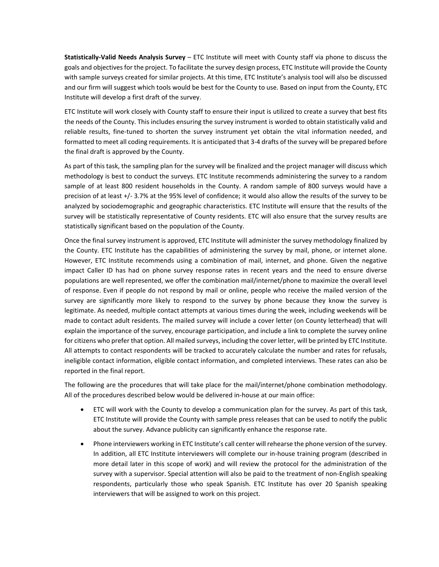**Statistically-Valid Needs Analysis Survey** – ETC Institute will meet with County staff via phone to discuss the goals and objectives for the project. To facilitate the survey design process, ETC Institute will provide the County with sample surveys created for similar projects. At this time, ETC Institute's analysis tool will also be discussed and our firm will suggest which tools would be best for the County to use. Based on input from the County, ETC Institute will develop a first draft of the survey.

ETC Institute will work closely with County staff to ensure their input is utilized to create a survey that best fits the needs of the County. This includes ensuring the survey instrument is worded to obtain statistically valid and reliable results, fine-tuned to shorten the survey instrument yet obtain the vital information needed, and formatted to meet all coding requirements. It is anticipated that 3-4 drafts of the survey will be prepared before the final draft is approved by the County.

As part of this task, the sampling plan for the survey will be finalized and the project manager will discuss which methodology is best to conduct the surveys. ETC Institute recommends administering the survey to a random sample of at least 800 resident households in the County. A random sample of 800 surveys would have a precision of at least +/- 3.7% at the 95% level of confidence; it would also allow the results of the survey to be analyzed by sociodemographic and geographic characteristics. ETC Institute will ensure that the results of the survey will be statistically representative of County residents. ETC will also ensure that the survey results are statistically significant based on the population of the County.

Once the final survey instrument is approved, ETC Institute will administer the survey methodology finalized by the County. ETC Institute has the capabilities of administering the survey by mail, phone, or internet alone. However, ETC Institute recommends using a combination of mail, internet, and phone. Given the negative impact Caller ID has had on phone survey response rates in recent years and the need to ensure diverse populations are well represented, we offer the combination mail/internet/phone to maximize the overall level of response. Even if people do not respond by mail or online, people who receive the mailed version of the survey are significantly more likely to respond to the survey by phone because they know the survey is legitimate. As needed, multiple contact attempts at various times during the week, including weekends will be made to contact adult residents. The mailed survey will include a cover letter (on County letterhead) that will explain the importance of the survey, encourage participation, and include a link to complete the survey online for citizens who prefer that option. All mailed surveys, including the cover letter, will be printed by ETC Institute. All attempts to contact respondents will be tracked to accurately calculate the number and rates for refusals, ineligible contact information, eligible contact information, and completed interviews. These rates can also be reported in the final report.

The following are the procedures that will take place for the mail/internet/phone combination methodology. All of the procedures described below would be delivered in-house at our main office:

- ETC will work with the County to develop a communication plan for the survey. As part of this task, ETC Institute will provide the County with sample press releases that can be used to notify the public about the survey. Advance publicity can significantly enhance the response rate.
- Phone interviewers working in ETC Institute's call center will rehearse the phone version of the survey. In addition, all ETC Institute interviewers will complete our in-house training program (described in more detail later in this scope of work) and will review the protocol for the administration of the survey with a supervisor. Special attention will also be paid to the treatment of non-English speaking respondents, particularly those who speak Spanish. ETC Institute has over 20 Spanish speaking interviewers that will be assigned to work on this project.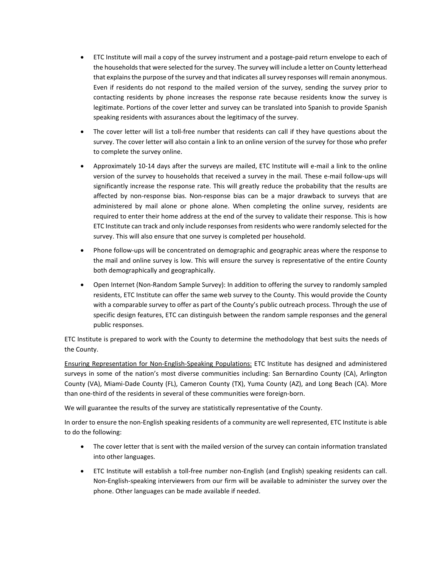- ETC Institute will mail a copy of the survey instrument and a postage-paid return envelope to each of the households that were selected for the survey. The survey will include a letter on County letterhead that explains the purpose of the survey and that indicates all survey responses will remain anonymous. Even if residents do not respond to the mailed version of the survey, sending the survey prior to contacting residents by phone increases the response rate because residents know the survey is legitimate. Portions of the cover letter and survey can be translated into Spanish to provide Spanish speaking residents with assurances about the legitimacy of the survey.
- The cover letter will list a toll-free number that residents can call if they have questions about the survey. The cover letter will also contain a link to an online version of the survey for those who prefer to complete the survey online.
- Approximately 10-14 days after the surveys are mailed, ETC Institute will e-mail a link to the online version of the survey to households that received a survey in the mail. These e-mail follow-ups will significantly increase the response rate. This will greatly reduce the probability that the results are affected by non-response bias. Non-response bias can be a major drawback to surveys that are administered by mail alone or phone alone. When completing the online survey, residents are required to enter their home address at the end of the survey to validate their response. This is how ETC Institute can track and only include responses from residents who were randomly selected for the survey. This will also ensure that one survey is completed per household.
- Phone follow-ups will be concentrated on demographic and geographic areas where the response to the mail and online survey is low. This will ensure the survey is representative of the entire County both demographically and geographically.
- Open Internet (Non-Random Sample Survey): In addition to offering the survey to randomly sampled residents, ETC Institute can offer the same web survey to the County. This would provide the County with a comparable survey to offer as part of the County's public outreach process. Through the use of specific design features, ETC can distinguish between the random sample responses and the general public responses.

ETC Institute is prepared to work with the County to determine the methodology that best suits the needs of the County.

Ensuring Representation for Non-English-Speaking Populations: ETC Institute has designed and administered surveys in some of the nation's most diverse communities including: San Bernardino County (CA), Arlington County (VA), Miami-Dade County (FL), Cameron County (TX), Yuma County (AZ), and Long Beach (CA). More than one-third of the residents in several of these communities were foreign-born.

We will guarantee the results of the survey are statistically representative of the County.

In order to ensure the non-English speaking residents of a community are well represented, ETC Institute is able to do the following:

- The cover letter that is sent with the mailed version of the survey can contain information translated into other languages.
- ETC Institute will establish a toll-free number non-English (and English) speaking residents can call. Non-English-speaking interviewers from our firm will be available to administer the survey over the phone. Other languages can be made available if needed.